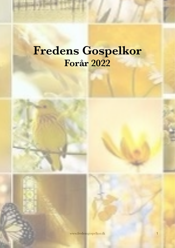# **Fredens Gospelkor Forår 2022**

[www.fredensgospelkor.dk](http://www.fredensgospelkor.dk) 1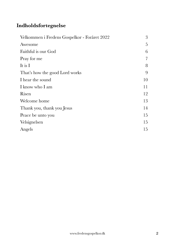# **Indholdsfortegnelse**

| Velkommen i Fredens Gospelkor - Foråret 2022 | 3  |
|----------------------------------------------|----|
| Awesome                                      | 5  |
| Faithful is our God                          | 6  |
| Pray for me                                  | 7  |
| It is $I$                                    | 8  |
| That's how the good Lord works               | 9  |
| I hear the sound                             | 10 |
| I know who I am                              | 11 |
| Risen                                        | 12 |
| Welcome home                                 | 13 |
| Thank you, thank you Jesus                   | 14 |
| Peace be unto you                            | 15 |
| Velsignelsen                                 | 15 |
| Angels                                       | 15 |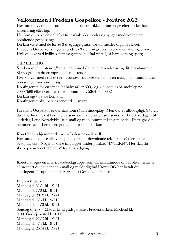# <span id="page-2-0"></span>**Velkommen i Fredens Gospelkor - Foråret 2022**

Her kan du være med som du er - du behøver ikke kunne synge efter noder, have korerfaring eller lign.

Her kan du blive en del af et fællesskab, der mødes og synger medrivende og opløftende gospelsange.

Du kan være med de første 3 øvegange gratis, før du melder dig ind i koret. I Fredens Gospelkor synger vi opdelt i 3 stemmegrupper: sopraner, alter og tenorer. Hvis du ikke ved hvilken stemmegruppe du skal være i, så bare kom og spørg.

#### TILMELDING:

Send en mail til: stenor@gmail.com med dit navn, din adresse og dit mobilnummer. Skriv også om du er sopran, alt eller tenor.

Hvis du var med i sidste sæson behøver du ikke senden os en mail, med mindre dine oplysninger har ændret sig.

Kontingentet for en sæson (et halvt år) er 600,- og skal betales på mobilepay:

20657699 eller overføres til kontonummer: 5364-0369652

Du kan også betale kontant.

Kontingentet skal betales senest d. 1. marts.

I Fredens Gospelkor er der ikke som sådan mødepligt. Men der er afbudspligt. Så hvis du er forhindret i at komme, så send en mail eller en sms senest kl. 12.00 på dagen til korleder, Lene Nørrelykke (se e-mail og mobilnummer længere nede). Dette gør det nemmere at forberede en god aften for dem der kommer.

Koret har en hjemmeside: www.fredensgospelkor.dk

Her kan du bl.a. se alle vigtige datoer samt downloade tekster, mp3-filer og evt. øveoptagelser. Nogle af disse ting ligger under punktet "INTERN". Her skal du skrive passwordet "fredens" for at få adgang.

Koret har også en intern facebookgruppe, som du kan anmode om at blive medlem af, så snart du har sendt en mail og meldt dig ind i koret OG har betalt dit kontingent. Gruppen hedder: Fredens Gospelkor - intern

Efterårets datoer: Mandag d. 31/1 kl. 19-21 Mandag d. 7/2 kl. 19-21 Mandag d. 28/2 kl. 19-21 Mandag d. 7/3 kl. 19-21 Mandag d. 14/3 kl. 19-21 Søndag d. 20/3: Medvirke til gudstjeneste i Fredenskirken. Mødetid kl. 9.00. Gudstjeneste kl. 10.00 Mandag d. 21/3 kl. 19-21 Mandag d. 4/4 kl. 19-21 Mandag d. 25/4 kl. 19-21

[www.fredensgospelkor.dk](http://www.fredensgospelkor.dk) 3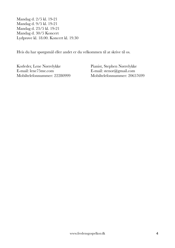Mandag d. 2/5 kl. 19-21 Mandag d. 9/5 kl. 19-21 Mandag d. 23/5 kl. 19-21 Mandag d. 30/5 Koncert Lydprøve kl. 18.00. Koncert kl. 19.30

Hvis du har spørgsmål eller andet er du velkommen til at skrive til os.

Korleder, Lene Nørrelykke **Pianist, Stephen Nørrelykke** E-mail: lene75me.com <br>E-mail: stenor@gmail.com Mobiltelefonnummer: 22280999 Mobiltelefonnummer: 20657699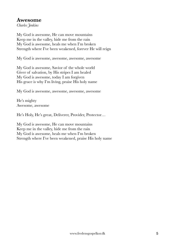#### <span id="page-4-0"></span>**Awesome**

*Charles Jenkins*

My God is awesome, He can move mountains Keep me in the valley, hide me from the rain My God is awesome, heals me when I'm broken Strength where I've been weakened, forever He will reign

My God is awesome, awesome, awesome, awesome

My God is awesome, Savior of the whole world Giver of salvation, by His stripes I am healed My God is awesome, today I am forgiven His grace is why I'm living, praise His holy name

My God is awesome, awesome, awesome, awesome

He's mighty Awesome, awesome

He's Holy, He's great, Deliverer, Provider, Protector…

My God is awesome, He can move mountains Keep me in the valley, hide me from the rain My God is awesome, heals me when I'm broken Strength where I've been weakened, praise His holy name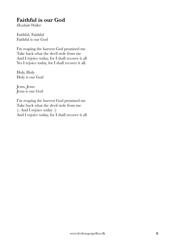# <span id="page-5-0"></span>**Faithful is our God**

*Hezekiah Walker*

Faithful, Faithful Faithful is our God

I'm reaping the harvest God promised me Take back what the devil stole from me And I rejoice today, for I shall recover it all Yes I rejoice today, for I shall recover it all.

Holy, Holy Holy is our God

Jesus, Jesus Jesus is our God

I'm reaping the harvest God promised me Take back what the devil stole from me |: And I rejoice today :| And I rejoice today, for I shall recover it all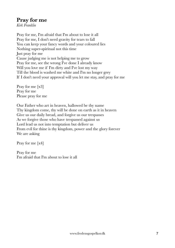#### <span id="page-6-0"></span>**Pray for me**

*Kirk Franklin* 

Pray for me, I'm afraid that I'm about to lose it all Pray for me, I don't need gravity for tears to fall You can keep your fancy words and your coloured lies Nothing super-spiritual not this time Just pray for me Cause judging me is not helping me to grow Pray for me, see the wrong I've done I already know Will you love me if I'm dirty and I've lost my way Till the blood is washed me white and I'm no longer grey If I don't need your approval will you let me stay, and pray for me

Pray for me [x3] Pray for me Please pray for me

Our Father who art in heaven, hallowed be thy name Thy kingdom come, thy will be done on earth as it in heaven Give us our daily bread, and forgive us our trespasses As we forgive those who have trespassed against us Lord lead us not into temptation but deliver us From evil for thine is thy kingdom, power and the glory forever We are asking

Pray for me [x4]

Pray for me I'm afraid that I'm about to lose it all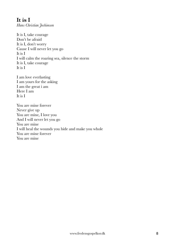#### <span id="page-7-0"></span>**It is I**  *Hans Christian Jochimsen*

It is I, take courage Don't be afraid It is I, don't worry Cause I will never let you go It is I I will calm the roaring sea, silence the storm It is I, take courage It is I

I am love everlasting I am yours for the asking I am the great i am Here I am It is I

You are mine forever Never give up You are mine, I love you And I will never let you go You are mine I will heal the wounds you hide and make you whole You are mine forever You are mine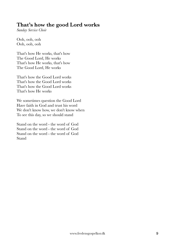#### <span id="page-8-0"></span>**That's how the good Lord works**

*Sunday Service Choir* 

Ooh, ooh, ooh Ooh, ooh, ooh

That's how He works, that's how The Good Lord, He works That's how He works, that's how The Good Lord, He works

That's how the Good Lord works That's how the Good Lord works That's how the Good Lord works That's how He works

We sometimes question the Good Lord Have faith in God and trust his word We don't know how, we don't know when To see this day, so we should stand

Stand on the word - the word of God Stand on the word - the word of God Stand on the word - the word of God Stand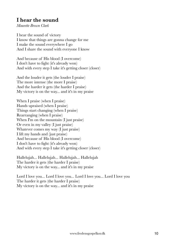### <span id="page-9-0"></span>**I hear the sound**

*Maurette Brown Clark*

I hear the sound of victory I know that things are gonna change for me I make the sound everywhere I go And I share the sound with everyone I know

And because of His blood (I overcome) I don't have to fight (it's already won) And with every step I take it's getting closer (closer)

And the louder it gets (the louder I praise) The more intense (the more I praise) And the harder it gets (the harder I praise) My victory is on the way... and it's in my praise

When I praise (when I praise) Hands upraised (when I praise) Things start changing (when I praise) Rearranging (when I praise) When I'm on the mountain (I just praise) Or even in my valley (I just praise) Whatever comes my way (I just praise) I lift my hands and (just praise) And because of His blood (I overcome) I don't have to fight (it's already won) And with every step I take it's getting closer (closer)

Hallelujah... Hallelujah... Hallelujah... Hallelujah The harder it gets (the harder I praise) My victory is on the way... and it's in my praise

Lord I love you... Lord I love you... Lord I love you... Lord I love you The harder it gets (the harder I praise) My victory is on the way... and it's in my praise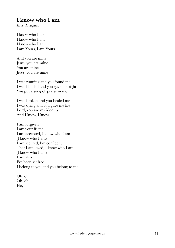#### <span id="page-10-0"></span>**I know who I am**

*Israel Houghton*

I know who I am I know who I am I know who I am I am Yours, I am Yours

And you are mine Jesus, you are mine You are mine Jesus, you are mine

I was running and you found me I was blinded and you gave me sight You put a song of praise in me

I was broken and you healed me I was dying and you gave me life Lord, you are my identity And I know, I know

I am forgiven I am your friend I am accepted, I know who I am (I know who I am) I am secured, I'm confident That I am loved, I know who I am (I know who I am) I am alive I've been set free I belong to you and you belong to me

Oh, oh Oh, oh Hey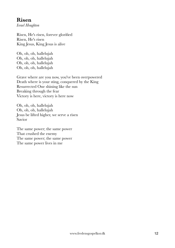#### <span id="page-11-0"></span>**Risen**

*Israel Houghton*

Risen, He's risen, forever glorified Risen, He's risen King Jesus, King Jesus is alive

Oh, oh, oh, hallelujah Oh, oh, oh, hallelujah Oh, oh, oh, hallelujah Oh, oh, oh, hallelujah

Grave where are you now, you've been overpowered Death where is your sting, conquered by the King Resurrected One shining like the sun Breaking through the fear Victory is here, victory is here now

Oh, oh, oh, hallelujah Oh, oh, oh, hallelujah Jesus be lifted higher, we serve a risen Savior

The same power; the same power That crushed the enemy The same power; the same power The same power lives in me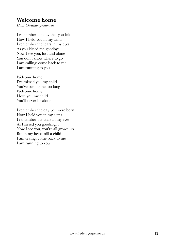#### <span id="page-12-0"></span>**Welcome home**

*Hans Christian Jochimsen* 

I remember the day that you left How I held you in my arms I remember the tears in my eyes As you kissed me goodbye Now I see you, lost and alone You don't know where to go I am calling: come back to me I am running to you

Welcome home I've missed you my child You've been gone too long Welcome home I love you my child You'll never be alone

I remember the day you were born How I held you in my arms I remember the tears in my eyes As I kissed you goodnight Now I see you, you're all grown up But in my heart still a child I am crying: come back to me I am running to you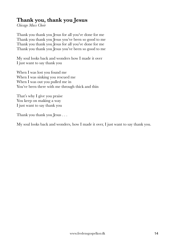# <span id="page-13-0"></span>**Thank you, thank you Jesus**

*Chicago Mass Choir*

Thank you thank you Jesus for all you've done for me Thank you thank you Jesus you've been so good to me Thank you thank you Jesus for all you've done for me Thank you thank you Jesus you've been so good to me

My soul looks back and wonders how I made it over I just want to say thank you

When I was lost you found me When I was sinking you rescued me When I was out you pulled me in You've been there with me through thick and thin

That's why I give you praise You keep on making a way I just want to say thank you

Thank you thank you Jesus . . .

My soul looks back and wonders, how I made it over, I just want to say thank you.